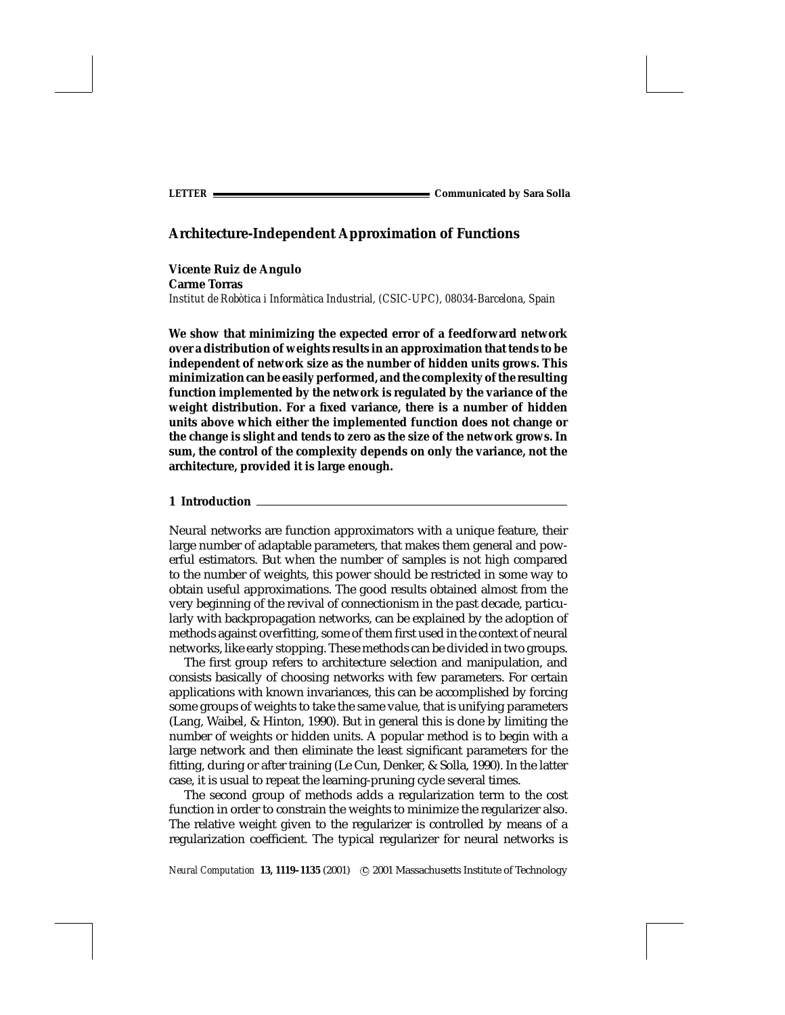**Vicente Ruiz de Angulo Carme Torras** *Institut de Robotica i Inform ` atica Industrial, (CSIC-UPC), 08034-Barcelona, Spain `*

**We show that minimizing the expected error of a feedforward network over a distribution of weights results in an approximation that tends to be independent of network size as the number of hidden units grows. This minimization can be easily performed, and the complexity of the resulting function implemented by the network is regulated by the variance of the weight distribution. For a fixed variance, there is a number of hidden units above which either the implemented function does not change or the change is slight and tends to zero as the size of the network grows. In sum, the control of the complexity depends on only the variance, not the architecture, provided it is large enough.**

#### **1 Introduction**

Neural networks are function approximators with a unique feature, their large number of adaptable parameters, that makes them general and powerful estimators. But when the number of samples is not high compared to the number of weights, this power should be restricted in some way to obtain useful approximations. The good results obtained almost from the very beginning of the revival of connectionism in the past decade, particularly with backpropagation networks, can be explained by the adoption of methods against overfitting, some of them first used in the context of neural networks, like early stopping. These methods can be divided in two groups.

The first group refers to architecture selection and manipulation, and consists basically of choosing networks with few parameters. For certain applications with known invariances, this can be accomplished by forcing some groups of weights to take the same value, that is unifying parameters (Lang, Waibel, & Hinton, 1990). But in general this is done by limiting the number of weights or hidden units. A popular method is to begin with a large network and then eliminate the least significant parameters for the fitting, during or after training (Le Cun, Denker, & Solla, 1990). In the latter case, it is usual to repeat the learning-pruning cycle several times.

The second group of methods adds a regularization term to the cost function in order to constrain the weights to minimize the regularizer also. The relative weight given to the regularizer is controlled by means of a regularization coefficient. The typical regularizer for neural networks is

*Neural Computation* **13, 1119–1135** (2001) °c 2001 Massachusetts Institute of Technology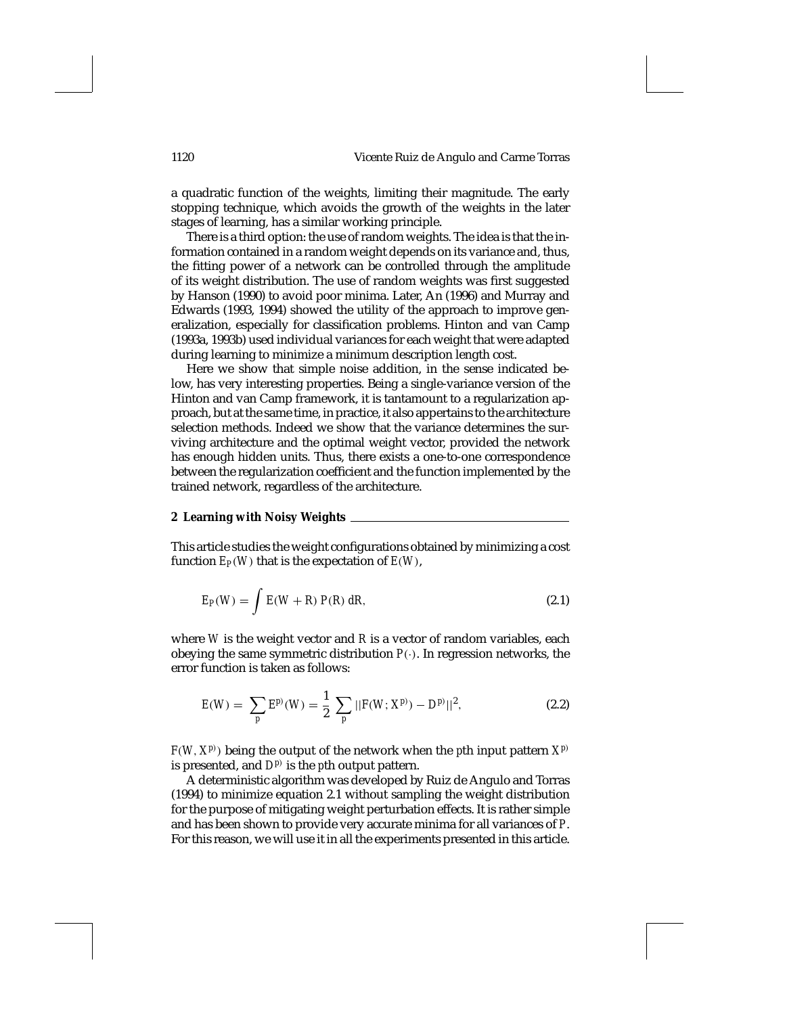1120 Vicente Ruiz de Angulo and Carme Torras

a quadratic function of the weights, limiting their magnitude. The early stopping technique, which avoids the growth of the weights in the later stages of learning, has a similar working principle.

There is a third option: the use of random weights. The idea is that the information contained in a random weight depends on its variance and, thus, the fitting power of a network can be controlled through the amplitude of its weight distribution. The use of random weights was first suggested by Hanson (1990) to avoid poor minima. Later, An (1996) and Murray and Edwards (1993, 1994) showed the utility of the approach to improve generalization, especially for classification problems. Hinton and van Camp (1993a, 1993b) used individual variances for each weight that were adapted during learning to minimize a minimum description length cost.

Here we show that simple noise addition, in the sense indicated below, has very interesting properties. Being a single-variance version of the Hinton and van Camp framework, it is tantamount to a regularization approach, but at the same time, in practice, it also appertains to the architecture selection methods. Indeed we show that the variance determines the surviving architecture and the optimal weight vector, provided the network has enough hidden units. Thus, there exists a one-to-one correspondence between the regularization coefficient and the function implemented by the trained network, regardless of the architecture.

# **2 Learning with Noisy Weights**

This article studies the weight configurations obtained by minimizing a cost function  $E_P(W)$  that is the expectation of  $E(W)$ ,

$$
E_P(W) = \int E(W + R) P(R) dR, \qquad (2.1)
$$

where *W* is the weight vector and *R* is a vector of random variables, each obeying the same symmetric distribution *P*(·). In regression networks, the error function is taken as follows:

$$
E(W) = \sum_{p} E^{p}(W) = \frac{1}{2} \sum_{p} ||F(W; X^{p}) - D^{p}||^{2},
$$
\n(2.2)

 $F(W, X^{p})$  being the output of the network when the *p*th input pattern  $X^{p}$ is presented, and  $D^{p}$  is the *p*th output pattern.

A deterministic algorithm was developed by Ruiz de Angulo and Torras (1994) to minimize equation 2.1 without sampling the weight distribution for the purpose of mitigating weight perturbation effects. It is rather simple and has been shown to provide very accurate minima for all variances of *P*. For this reason, we will use it in all the experiments presented in this article.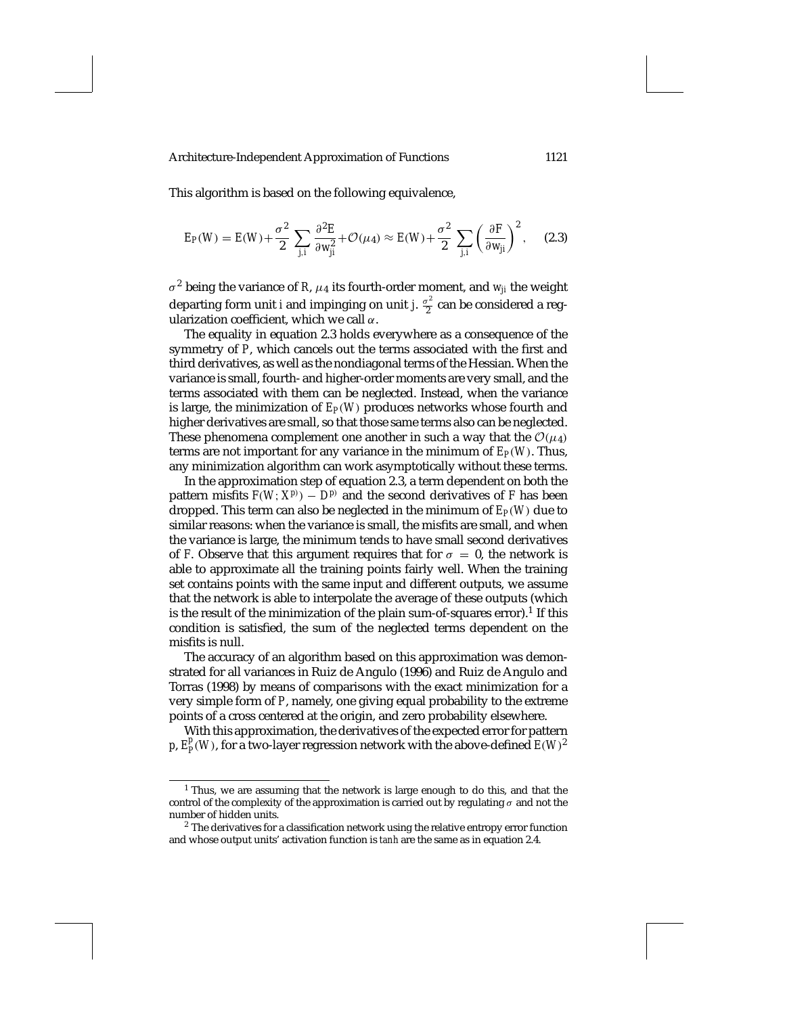This algorithm is based on the following equivalence,

$$
E_P(W) = E(W) + \frac{\sigma^2}{2} \sum_{j,i} \frac{\partial^2 E}{\partial w_{ji}^2} + \mathcal{O}(\mu_4) \approx E(W) + \frac{\sigma^2}{2} \sum_{j,i} \left(\frac{\partial F}{\partial w_{ji}}\right)^2, \quad (2.3)
$$

 $\sigma^2$  being the variance of *R*,  $\mu_4$  its fourth-order moment, and  $w_{ji}$  the weight departing form unit *i* and impinging on unit *j*.  $\frac{\sigma^2}{2}$  can be considered a regularization coefficient, which we call  $\alpha$ .

The equality in equation 2.3 holds everywhere as a consequence of the symmetry of *P*, which cancels out the terms associated with the first and third derivatives, as well as the nondiagonal terms of the Hessian. When the variance is small, fourth- and higher-order moments are very small, and the terms associated with them can be neglected. Instead, when the variance is large, the minimization of *EP*(*W*) produces networks whose fourth and higher derivatives are small, so that those same terms also can be neglected. These phenomena complement one another in such a way that the  $\mathcal{O}(\mu_4)$ terms are not important for any variance in the minimum of  $E_P(W)$ . Thus, any minimization algorithm can work asymptotically without these terms.

In the approximation step of equation 2.3, a term dependent on both the pattern misfits  $F(W; X^{p}) - D^{p}$  and the second derivatives of *F* has been dropped. This term can also be neglected in the minimum of  $E_P(W)$  due to similar reasons: when the variance is small, the misfits are small, and when the variance is large, the minimum tends to have small second derivatives of *F*. Observe that this argument requires that for  $\sigma = 0$ , the network is able to approximate all the training points fairly well. When the training set contains points with the same input and different outputs, we assume that the network is able to interpolate the average of these outputs (which is the result of the minimization of the plain sum-of-squares error).<sup>1</sup> If this condition is satisfied, the sum of the neglected terms dependent on the misfits is null.

The accuracy of an algorithm based on this approximation was demonstrated for all variances in Ruiz de Angulo (1996) and Ruiz de Angulo and Torras (1998) by means of comparisons with the exact minimization for a very simple form of *P*, namely, one giving equal probability to the extreme points of a cross centered at the origin, and zero probability elsewhere.

With this approximation, the derivatives of the expected error for pattern *p*,  $E_P^p(W)$ , for a two-layer regression network with the above-defined  $E(W)^2$ 

<sup>&</sup>lt;sup>1</sup> Thus, we are assuming that the network is large enough to do this, and that the control of the complexity of the approximation is carried out by regulating  $\sigma$  and not the number of hidden units.

<sup>&</sup>lt;sup>2</sup> The derivatives for a classification network using the relative entropy error function and whose output units' activation function is *tanh* are the same as in equation 2.4.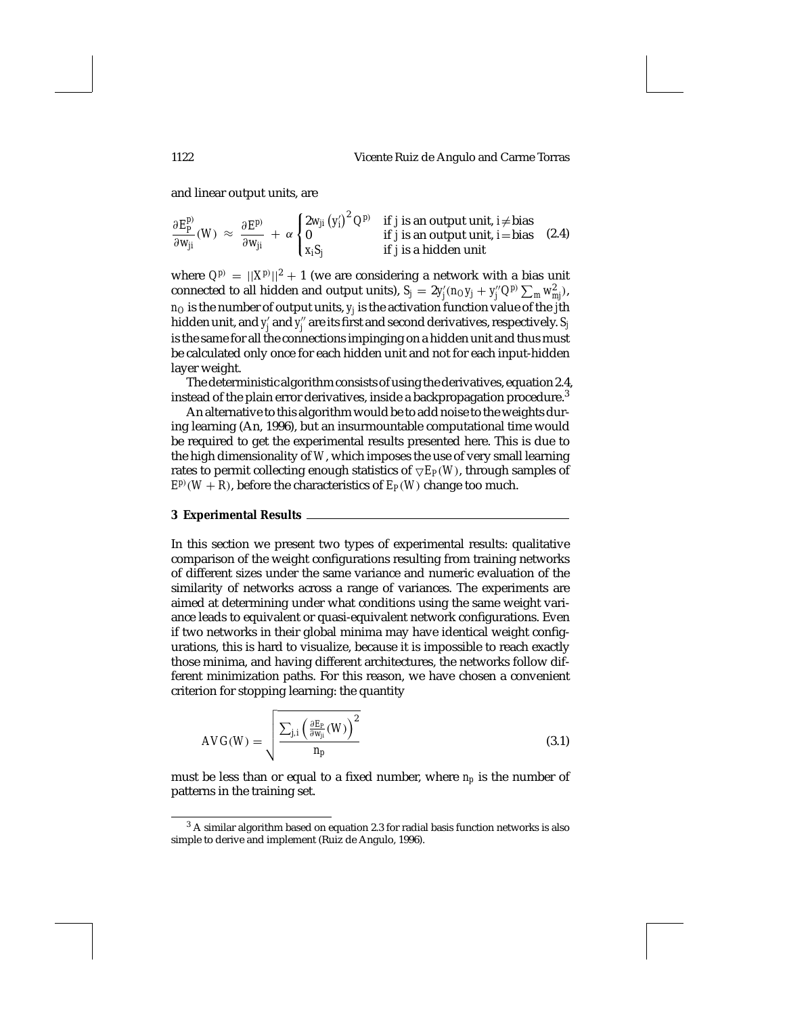and linear output units, are

$$
\frac{\partial E_p^p}{\partial w_{ji}}(W) \approx \frac{\partial E^p}{\partial w_{ji}} + \alpha \begin{cases} 2w_{ji}(y_i')^2 Q^{p)} & \text{if } j \text{ is an output unit, } i \neq \text{bias} \\ 0 & \text{if } j \text{ is an output unit, } i = \text{bias} \end{cases}
$$
 (2.4)

where  $Q^{p} = ||X^{p}||^2 + 1$  (we are considering a network with a bias unit connected to all hidden and output units),  $S_j = 2y_j'(n_{O}y_j + y_j''Q^{p)}\sum_m w_{mj}^2$ ),  $n<sub>O</sub>$  is the number of output units,  $y<sub>j</sub>$  is the activation function value of the  $\ddot{j}$ th hidden unit, and  $y'_j$  and  $y''_j$  are its first and second derivatives, respectively.  $S_j$ is the same for all the connections impinging on a hidden unit and thus must be calculated only once for each hidden unit and not for each input-hidden layer weight.

The deterministic algorithm consists of using the derivatives, equation 2.4, instead of the plain error derivatives, inside a backpropagation procedure.<sup>3</sup>

An alternative to this algorithm would be to add noise to the weights during learning (An, 1996), but an insurmountable computational time would be required to get the experimental results presented here. This is due to the high dimensionality of *W*, which imposes the use of very small learning rates to permit collecting enough statistics of  $\nabla E_P(W)$ , through samples of  $E^{p}(W) + R$ , before the characteristics of  $E_P(W)$  change too much.

#### **3 Experimental Results**

In this section we present two types of experimental results: qualitative comparison of the weight configurations resulting from training networks of different sizes under the same variance and numeric evaluation of the similarity of networks across a range of variances. The experiments are aimed at determining under what conditions using the same weight variance leads to equivalent or quasi-equivalent network configurations. Even if two networks in their global minima may have identical weight configurations, this is hard to visualize, because it is impossible to reach exactly those minima, and having different architectures, the networks follow different minimization paths. For this reason, we have chosen a convenient criterion for stopping learning: the quantity

$$
AVG(W) = \sqrt{\frac{\sum_{j,i} \left(\frac{\partial E_p}{\partial w_{ji}}(W)\right)^2}{n_p}}
$$
(3.1)

must be less than or equal to a fixed number, where *np* is the number of patterns in the training set.

<sup>3</sup> A similar algorithm based on equation 2.3 for radial basis function networks is also simple to derive and implement (Ruiz de Angulo, 1996).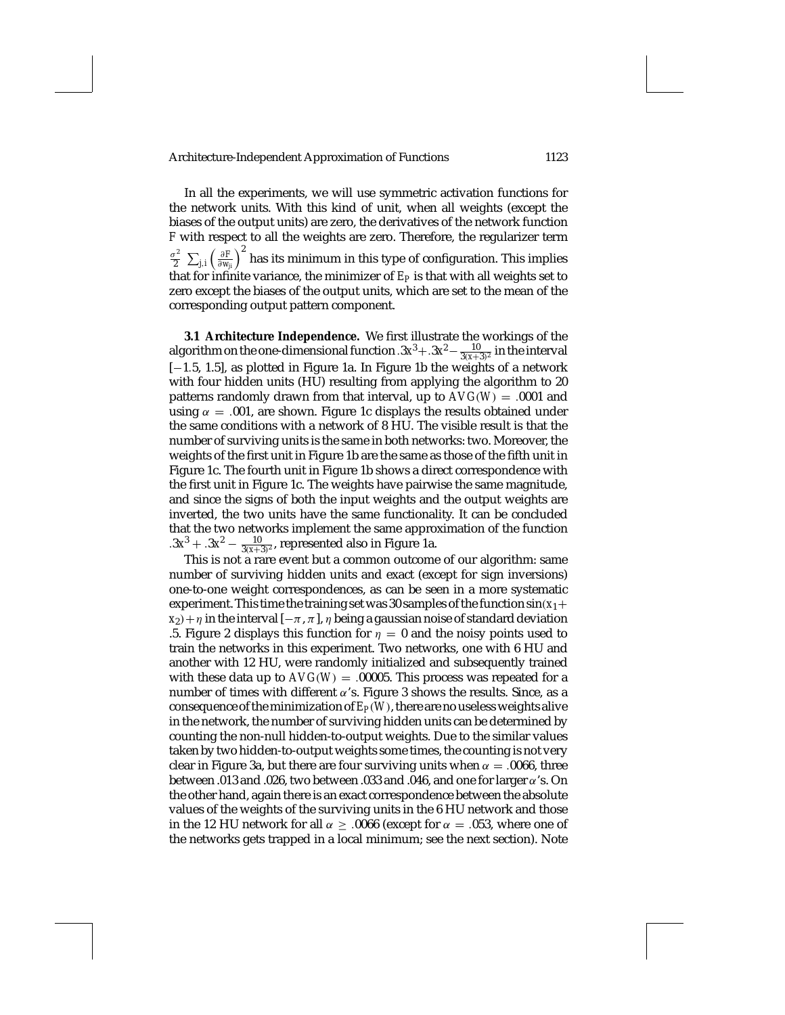In all the experiments, we will use symmetric activation functions for the network units. With this kind of unit, when all weights (except the biases of the output units) are zero, the derivatives of the network function *F* with respect to all the weights are zero. Therefore, the regularizer term  $\frac{\sigma^2}{2}\ \sum_{j,i} \left(\frac{\partial F}{\partial w_{ji}}\right)^2$  has its minimum in this type of configuration. This implies that for infinite variance, the minimizer of  $E_P$  is that with all weights set to zero except the biases of the output units, which are set to the mean of the corresponding output pattern component.

**3.1 Architecture Independence.** We first illustrate the workings of the algorithm on the one-dimensional function  $.3x^3 + .3x^2 - \frac{10}{3(x+3)^2}$  in the interval [−1.5, 1.5], as plotted in Figure 1a. In Figure 1b the weights of a network with four hidden units (HU) resulting from applying the algorithm to 20 patterns randomly drawn from that interval, up to  $AVG(W) = .0001$  and using  $\alpha = 0.001$ , are shown. Figure 1c displays the results obtained under the same conditions with a network of 8 HU. The visible result is that the number of surviving units is the same in both networks: two. Moreover, the weights of the first unit in Figure 1b are the same as those of the fifth unit in Figure 1c. The fourth unit in Figure 1b shows a direct correspondence with the first unit in Figure 1c. The weights have pairwise the same magnitude, and since the signs of both the input weights and the output weights are inverted, the two units have the same functionality. It can be concluded that the two networks implement the same approximation of the function  $.3x^3 + .3x^2 - \frac{10}{3(x+3)^2}$ , represented also in Figure 1a.

This is not a rare event but a common outcome of our algorithm: same number of surviving hidden units and exact (except for sign inversions) one-to-one weight correspondences, as can be seen in a more systematic experiment. This time the training set was 30 samples of the function  $sin(x_1 +$  $x_2$ ) +  $\eta$  in the interval  $[-\pi, \pi]$ ,  $\eta$  being a gaussian noise of standard deviation .5. Figure 2 displays this function for  $\eta = 0$  and the noisy points used to train the networks in this experiment. Two networks, one with 6 HU and another with 12 HU, were randomly initialized and subsequently trained with these data up to  $AVG(W) = .00005$ . This process was repeated for a number of times with different  $\alpha$ 's. Figure 3 shows the results. Since, as a consequence of the minimization of  $E_P(W)$ , there are no useless weights alive in the network, the number of surviving hidden units can be determined by counting the non-null hidden-to-output weights. Due to the similar values taken by two hidden-to-output weights some times, the counting is not very clear in Figure 3a, but there are four surviving units when  $\alpha = .0066$ , three between .013 and .026, two between .033 and .046, and one for larger  $\alpha$ 's. On the other hand, again there is an exact correspondence between the absolute values of the weights of the surviving units in the 6 HU network and those in the 12 HU network for all  $\alpha \geq .0066$  (except for  $\alpha = .053$ , where one of the networks gets trapped in a local minimum; see the next section). Note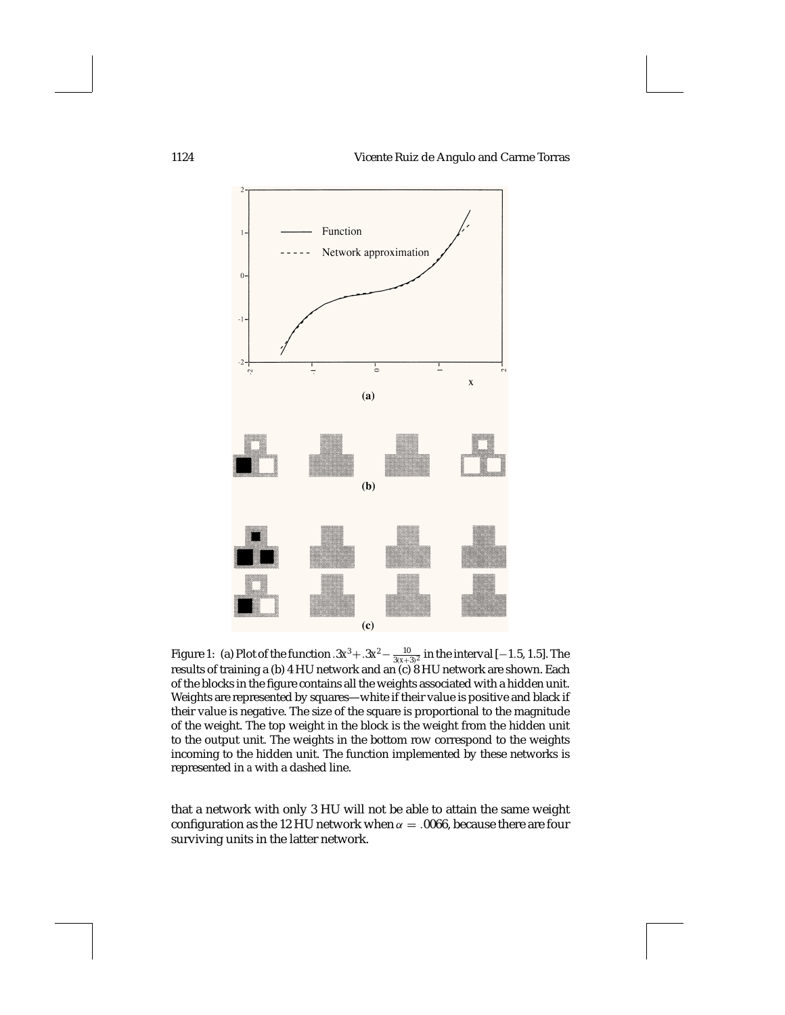

Figure 1: (a) Plot of the function .3*x*<sup>3</sup> + .3*x*<sup>2</sup> −  $\frac{10}{3(x+3)^2}$  in the interval [−1.5, 1.5]. The results of training a (b) 4 HU network and an (c) 8 HU network are shown. Each of the blocks in the figure contains all the weights associated with a hidden unit. Weights are represented by squares—white if their value is positive and black if their value is negative. The size of the square is proportional to the magnitude of the weight. The top weight in the block is the weight from the hidden unit to the output unit. The weights in the bottom row correspond to the weights incoming to the hidden unit. The function implemented by these networks is represented in *a* with a dashed line.

that a network with only 3 HU will not be able to attain the same weight configuration as the 12 HU network when  $\alpha = 0.0066$ , because there are four surviving units in the latter network.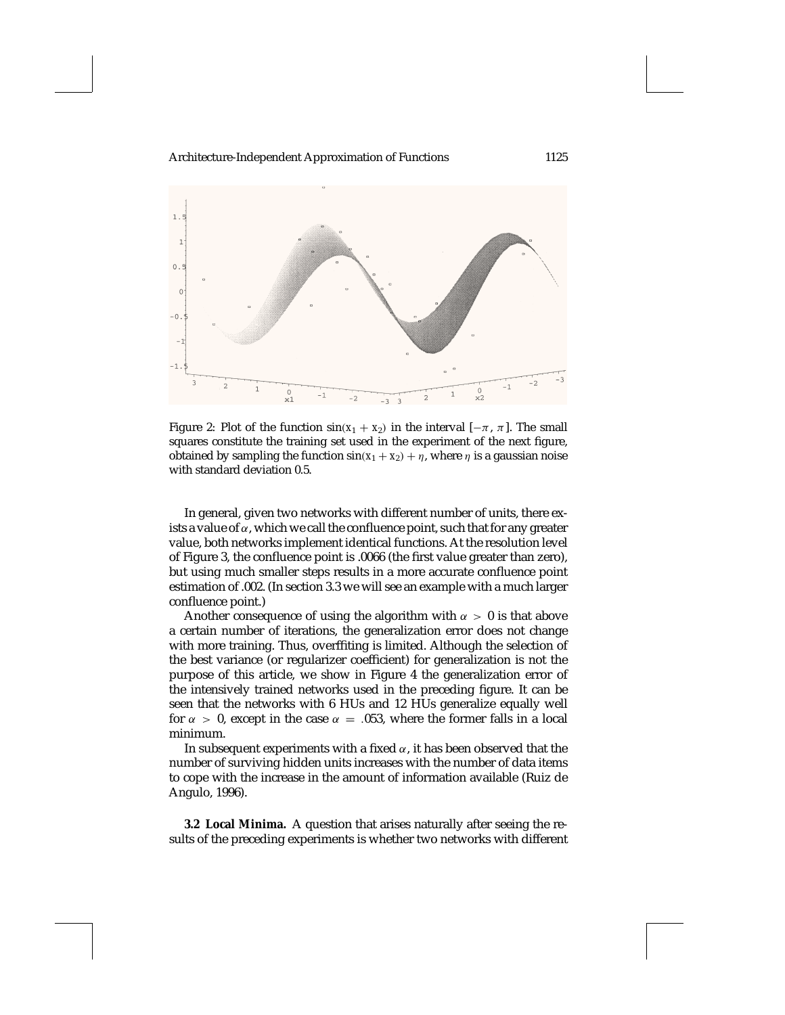

Figure 2: Plot of the function  $sin(x_1 + x_2)$  in the interval  $[-\pi, \pi]$ . The small squares constitute the training set used in the experiment of the next figure, obtained by sampling the function  $sin(x_1 + x_2) + \eta$ , where  $\eta$  is a gaussian noise with standard deviation 0.5.

In general, given two networks with different number of units, there exists a value of  $\alpha$ , which we call the confluence point, such that for any greater value, both networks implement identical functions. At the resolution level of Figure 3, the confluence point is .0066 (the first value greater than zero), but using much smaller steps results in a more accurate confluence point estimation of .002. (In section 3.3 we will see an example with a much larger confluence point.)

Another consequence of using the algorithm with  $\alpha > 0$  is that above a certain number of iterations, the generalization error does not change with more training. Thus, overffiting is limited. Although the selection of the best variance (or regularizer coefficient) for generalization is not the purpose of this article, we show in Figure 4 the generalization error of the intensively trained networks used in the preceding figure. It can be seen that the networks with 6 HUs and 12 HUs generalize equally well for  $\alpha > 0$ , except in the case  $\alpha = 0.053$ , where the former falls in a local minimum.

In subsequent experiments with a fixed  $\alpha$ , it has been observed that the number of surviving hidden units increases with the number of data items to cope with the increase in the amount of information available (Ruiz de Angulo, 1996).

**3.2 Local Minima.** A question that arises naturally after seeing the results of the preceding experiments is whether two networks with different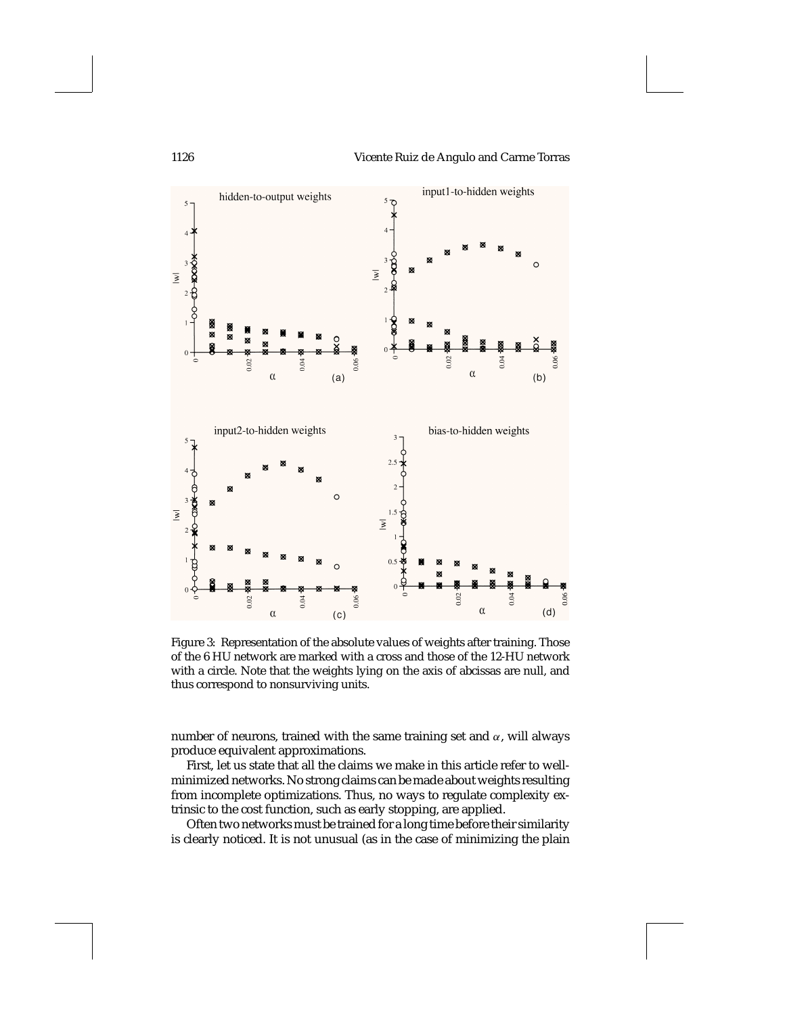

Figure 3: Representation of the absolute values of weights after training. Those of the 6 HU network are marked with a cross and those of the 12-HU network with a circle. Note that the weights lying on the axis of abcissas are null, and thus correspond to nonsurviving units.

number of neurons, trained with the same training set and  $\alpha$ , will always produce equivalent approximations.

First, let us state that all the claims we make in this article refer to wellminimized networks. No strong claims can be made about weights resulting from incomplete optimizations. Thus, no ways to regulate complexity extrinsic to the cost function, such as early stopping, are applied.

Often two networks must be trained for a long time before their similarity is clearly noticed. It is not unusual (as in the case of minimizing the plain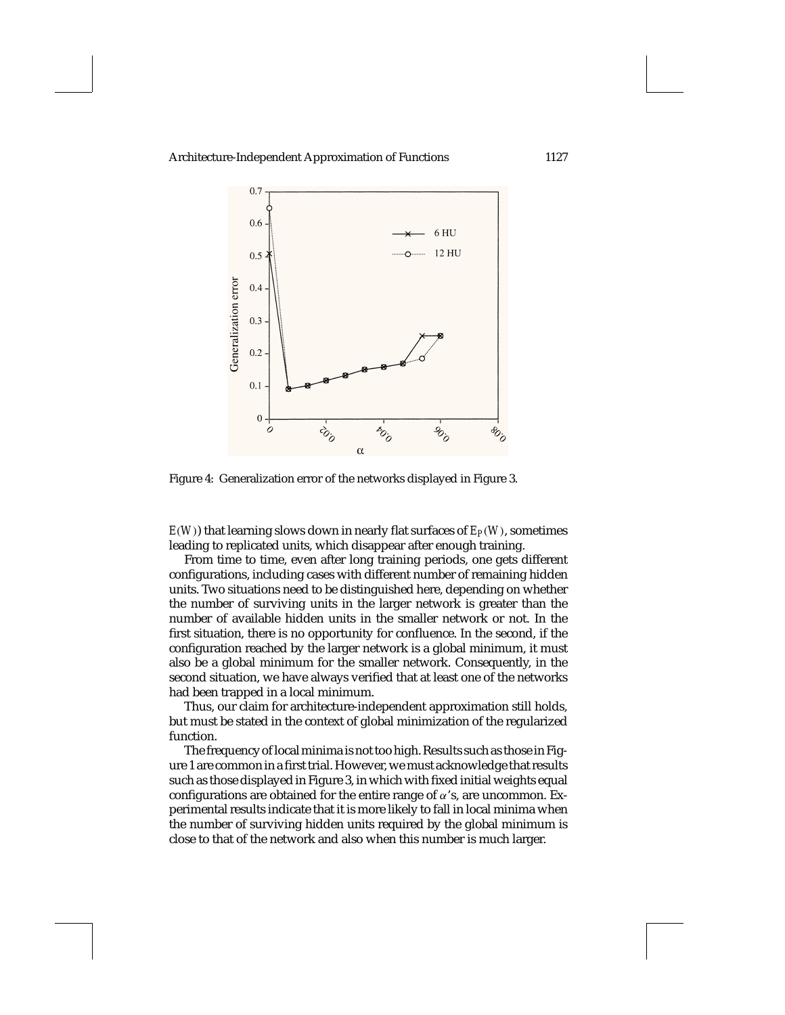

Figure 4: Generalization error of the networks displayed in Figure 3.

 $E(W)$ ) that learning slows down in nearly flat surfaces of  $E_P(W)$ , sometimes leading to replicated units, which disappear after enough training.

From time to time, even after long training periods, one gets different configurations, including cases with different number of remaining hidden units. Two situations need to be distinguished here, depending on whether the number of surviving units in the larger network is greater than the number of available hidden units in the smaller network or not. In the first situation, there is no opportunity for confluence. In the second, if the configuration reached by the larger network is a global minimum, it must also be a global minimum for the smaller network. Consequently, in the second situation, we have always verified that at least one of the networks had been trapped in a local minimum.

Thus, our claim for architecture-independent approximation still holds, but must be stated in the context of global minimization of the regularized function.

The frequency of local minima is not too high. Results such as those in Figure 1 are common in a first trial. However, we must acknowledge that results such as those displayed in Figure 3, in which with fixed initial weights equal configurations are obtained for the entire range of  $\alpha$ 's, are uncommon. Experimental results indicate that it is more likely to fall in local minima when the number of surviving hidden units required by the global minimum is close to that of the network and also when this number is much larger.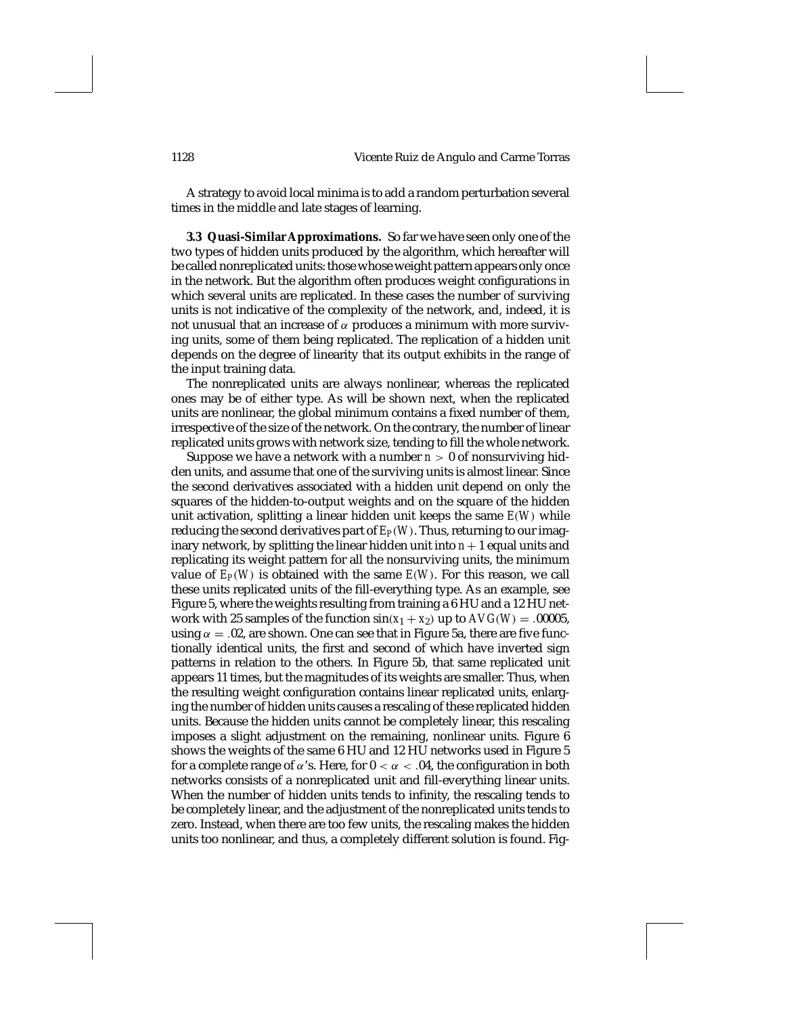A strategy to avoid local minima is to add a random perturbation several times in the middle and late stages of learning.

**3.3 Quasi-Similar Approximations.** So far we have seen only one of the two types of hidden units produced by the algorithm, which hereafter will be called nonreplicated units: those whose weight pattern appears only once in the network. But the algorithm often produces weight configurations in which several units are replicated. In these cases the number of surviving units is not indicative of the complexity of the network, and, indeed, it is not unusual that an increase of  $\alpha$  produces a minimum with more surviving units, some of them being replicated. The replication of a hidden unit depends on the degree of linearity that its output exhibits in the range of the input training data.

The nonreplicated units are always nonlinear, whereas the replicated ones may be of either type. As will be shown next, when the replicated units are nonlinear, the global minimum contains a fixed number of them, irrespective of the size of the network. On the contrary, the number of linear replicated units grows with network size, tending to fill the whole network.

Suppose we have a network with a number  $n > 0$  of nonsurviving hidden units, and assume that one of the surviving units is almost linear. Since the second derivatives associated with a hidden unit depend on only the squares of the hidden-to-output weights and on the square of the hidden unit activation, splitting a linear hidden unit keeps the same *E*(*W*) while reducing the second derivatives part of  $E_P(W)$ . Thus, returning to our imaginary network, by splitting the linear hidden unit into  $n+1$  equal units and replicating its weight pattern for all the nonsurviving units, the minimum value of  $E_P(W)$  is obtained with the same  $E(W)$ . For this reason, we call these units replicated units of the fill-everything type. As an example, see Figure 5, where the weights resulting from training a 6 HU and a 12 HU network with 25 samples of the function  $sin(x_1 + x_2)$  up to  $AVG(W) = .00005$ , using  $\alpha = 0.02$ , are shown. One can see that in Figure 5a, there are five functionally identical units, the first and second of which have inverted sign patterns in relation to the others. In Figure 5b, that same replicated unit appears 11 times, but the magnitudes of its weights are smaller. Thus, when the resulting weight configuration contains linear replicated units, enlarging the number of hidden units causes a rescaling of these replicated hidden units. Because the hidden units cannot be completely linear, this rescaling imposes a slight adjustment on the remaining, nonlinear units. Figure 6 shows the weights of the same 6 HU and 12 HU networks used in Figure 5 for a complete range of  $\alpha$ 's. Here, for  $0 < \alpha < .04$ , the configuration in both networks consists of a nonreplicated unit and fill-everything linear units. When the number of hidden units tends to infinity, the rescaling tends to be completely linear, and the adjustment of the nonreplicated units tends to zero. Instead, when there are too few units, the rescaling makes the hidden units too nonlinear, and thus, a completely different solution is found. Fig-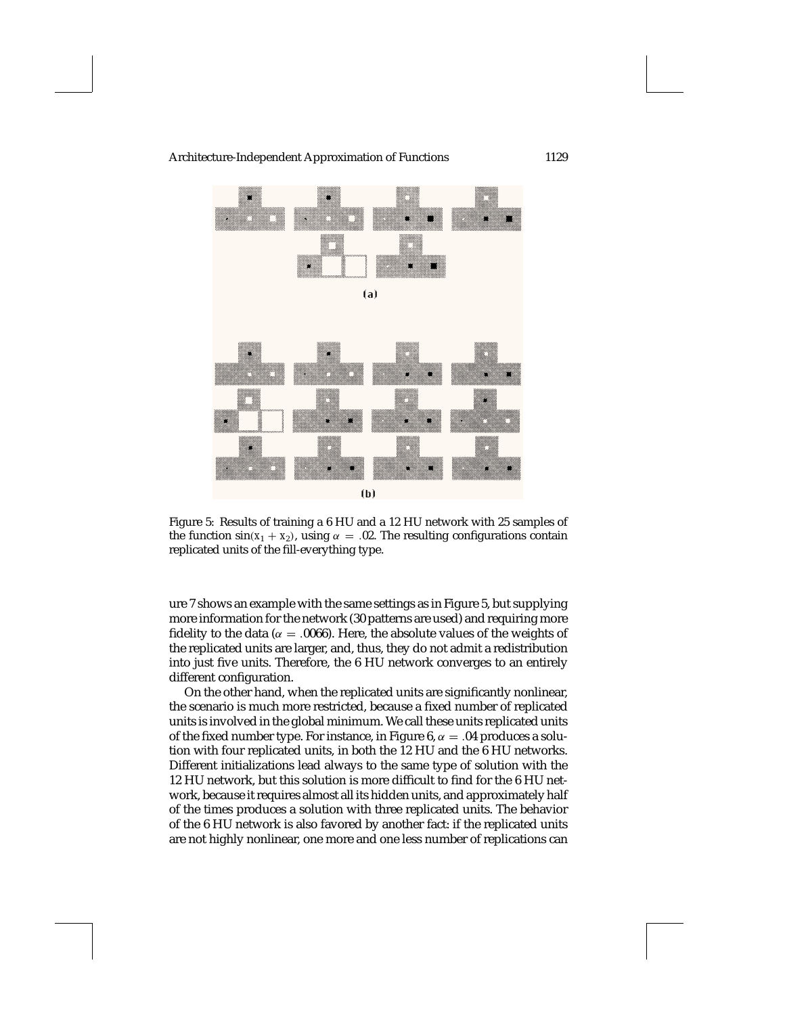



Figure 5: Results of training a 6 HU and a 12 HU network with 25 samples of the function  $sin(x_1 + x_2)$ , using  $\alpha = .02$ . The resulting configurations contain replicated units of the fill-everything type.

ure 7 shows an example with the same settings as in Figure 5, but supplying more information for the network (30 patterns are used) and requiring more fidelity to the data ( $\alpha = 0.0066$ ). Here, the absolute values of the weights of the replicated units are larger, and, thus, they do not admit a redistribution into just five units. Therefore, the 6 HU network converges to an entirely different configuration.

On the other hand, when the replicated units are significantly nonlinear, the scenario is much more restricted, because a fixed number of replicated units is involved in the global minimum. We call these units replicated units of the fixed number type. For instance, in Figure 6,  $\alpha = .04$  produces a solution with four replicated units, in both the 12 HU and the 6 HU networks. Different initializations lead always to the same type of solution with the 12 HU network, but this solution is more difficult to find for the 6 HU network, because it requires almost all its hidden units, and approximately half of the times produces a solution with three replicated units. The behavior of the 6 HU network is also favored by another fact: if the replicated units are not highly nonlinear, one more and one less number of replications can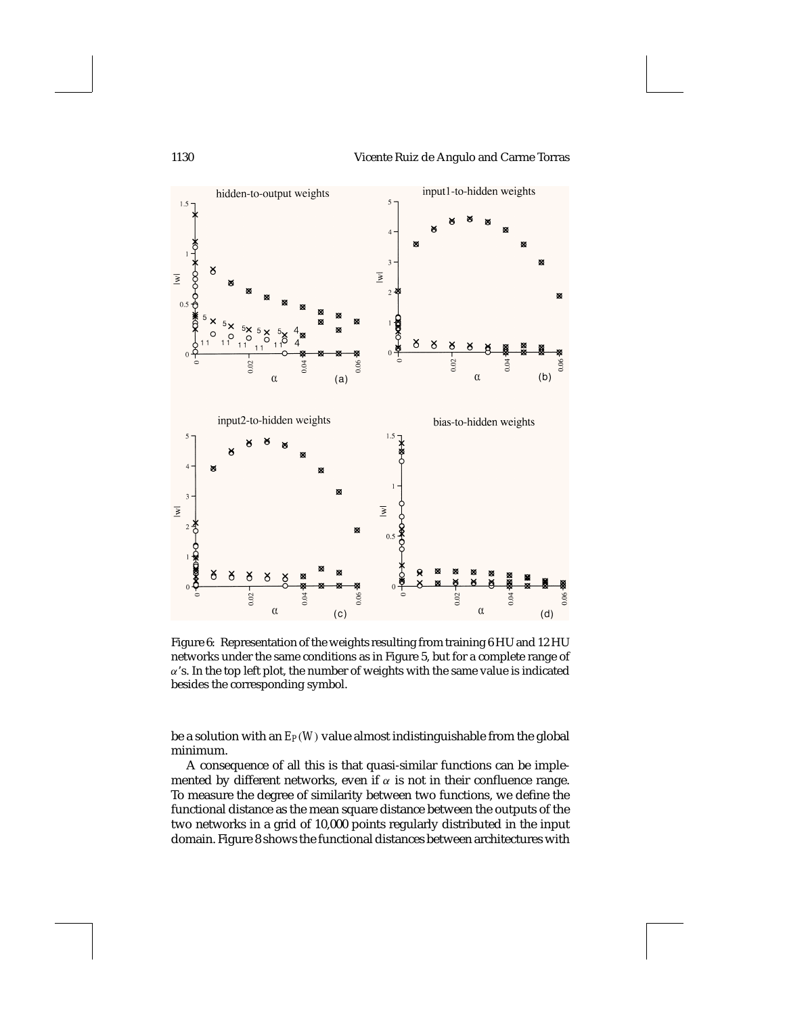



Figure 6: Representation of the weights resulting from training 6 HU and 12 HU networks under the same conditions as in Figure 5, but for a complete range of  $\alpha$ 's. In the top left plot, the number of weights with the same value is indicated besides the corresponding symbol.

be a solution with an *EP*(*W*) value almost indistinguishable from the global minimum.

A consequence of all this is that quasi-similar functions can be implemented by different networks, even if  $\alpha$  is not in their confluence range. To measure the degree of similarity between two functions, we define the functional distance as the mean square distance between the outputs of the two networks in a grid of 10,000 points regularly distributed in the input domain. Figure 8 shows the functional distances between architectures with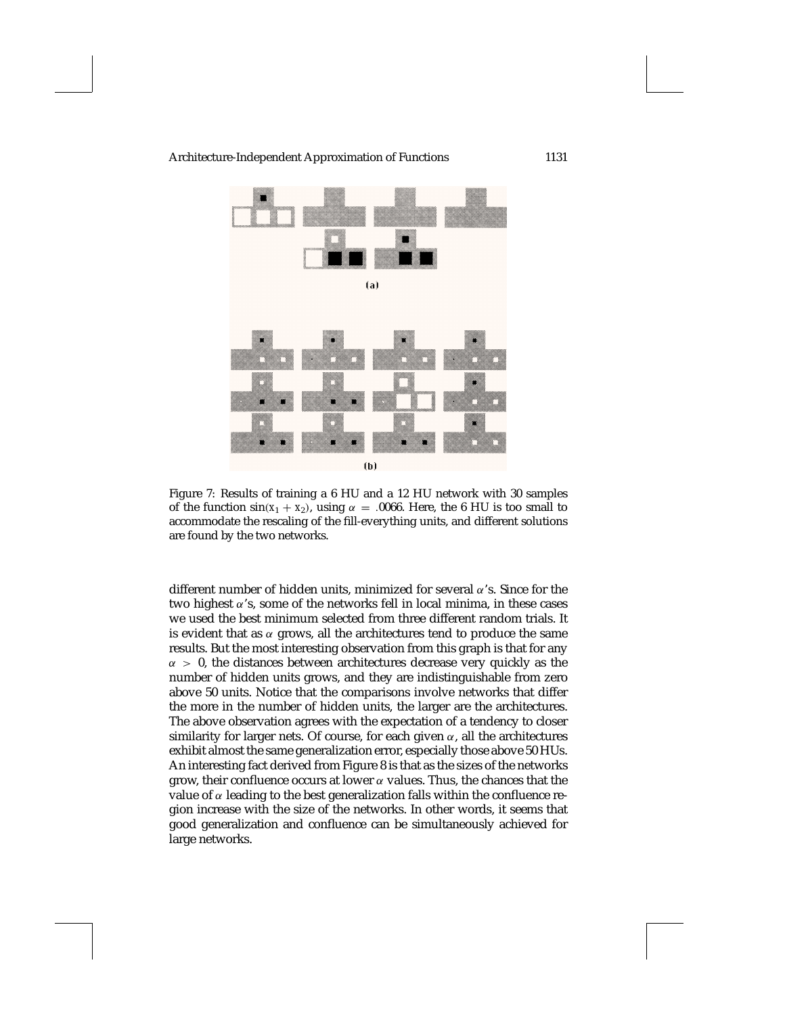

Figure 7: Results of training a 6 HU and a 12 HU network with 30 samples of the function  $sin(x_1 + x_2)$ , using  $\alpha = .0066$ . Here, the 6 HU is too small to accommodate the rescaling of the fill-everything units, and different solutions are found by the two networks.

different number of hidden units, minimized for several  $\alpha$ 's. Since for the two highest  $\alpha$ 's, some of the networks fell in local minima, in these cases we used the best minimum selected from three different random trials. It is evident that as  $\alpha$  grows, all the architectures tend to produce the same results. But the most interesting observation from this graph is that for any  $\alpha > 0$ , the distances between architectures decrease very quickly as the number of hidden units grows, and they are indistinguishable from zero above 50 units. Notice that the comparisons involve networks that differ the more in the number of hidden units, the larger are the architectures. The above observation agrees with the expectation of a tendency to closer similarity for larger nets. Of course, for each given  $\alpha$ , all the architectures exhibit almost the same generalization error, especially those above 50 HUs. An interesting fact derived from Figure 8 is that as the sizes of the networks grow, their confluence occurs at lower  $\alpha$  values. Thus, the chances that the value of  $\alpha$  leading to the best generalization falls within the confluence region increase with the size of the networks. In other words, it seems that good generalization and confluence can be simultaneously achieved for large networks.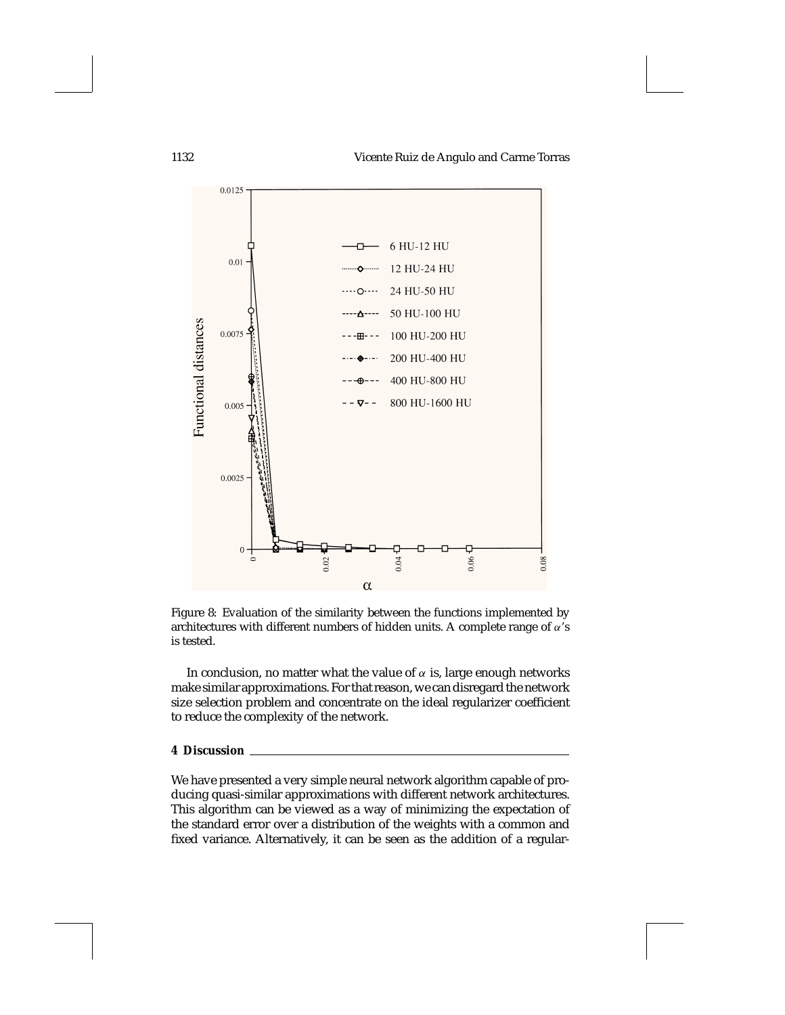1132 Vicente Ruiz de Angulo and Carme Torras



Figure 8: Evaluation of the similarity between the functions implemented by architectures with different numbers of hidden units. A complete range of  $\alpha$ 's is tested.

In conclusion, no matter what the value of  $\alpha$  is, large enough networks make similar approximations. For that reason, we can disregard the network size selection problem and concentrate on the ideal regularizer coefficient to reduce the complexity of the network.

## **4 Discussion**

We have presented a very simple neural network algorithm capable of producing quasi-similar approximations with different network architectures. This algorithm can be viewed as a way of minimizing the expectation of the standard error over a distribution of the weights with a common and fixed variance. Alternatively, it can be seen as the addition of a regular-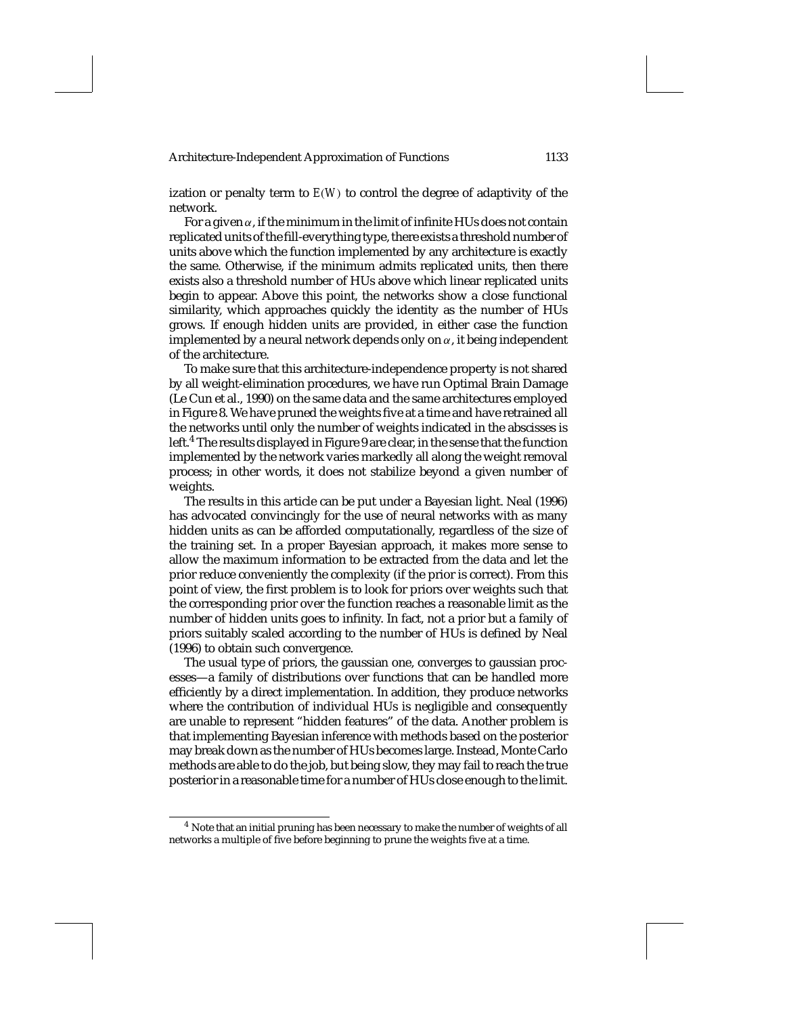ization or penalty term to *E*(*W*) to control the degree of adaptivity of the network.

For a given  $\alpha$ , if the minimum in the limit of infinite HUs does not contain replicated units of the fill-everything type, there exists a threshold number of units above which the function implemented by any architecture is exactly the same. Otherwise, if the minimum admits replicated units, then there exists also a threshold number of HUs above which linear replicated units begin to appear. Above this point, the networks show a close functional similarity, which approaches quickly the identity as the number of HUs grows. If enough hidden units are provided, in either case the function implemented by a neural network depends only on  $\alpha$ , it being independent of the architecture.

To make sure that this architecture-independence property is not shared by all weight-elimination procedures, we have run Optimal Brain Damage (Le Cun et al., 1990) on the same data and the same architectures employed in Figure 8. We have pruned the weights five at a time and have retrained all the networks until only the number of weights indicated in the abscisses is left.<sup>4</sup> The results displayed in Figure 9 are clear, in the sense that the function implemented by the network varies markedly all along the weight removal process; in other words, it does not stabilize beyond a given number of weights.

The results in this article can be put under a Bayesian light. Neal (1996) has advocated convincingly for the use of neural networks with as many hidden units as can be afforded computationally, regardless of the size of the training set. In a proper Bayesian approach, it makes more sense to allow the maximum information to be extracted from the data and let the prior reduce conveniently the complexity (if the prior is correct). From this point of view, the first problem is to look for priors over weights such that the corresponding prior over the function reaches a reasonable limit as the number of hidden units goes to infinity. In fact, not a prior but a family of priors suitably scaled according to the number of HUs is defined by Neal (1996) to obtain such convergence.

The usual type of priors, the gaussian one, converges to gaussian processes—a family of distributions over functions that can be handled more efficiently by a direct implementation. In addition, they produce networks where the contribution of individual HUs is negligible and consequently are unable to represent "hidden features" of the data. Another problem is that implementing Bayesian inference with methods based on the posterior may break down as the number of HUs becomes large. Instead, Monte Carlo methods are able to do the job, but being slow, they may fail to reach the true posterior in a reasonable time for a number of HUs close enough to the limit.

<sup>4</sup> Note that an initial pruning has been necessary to make the number of weights of all networks a multiple of five before beginning to prune the weights five at a time.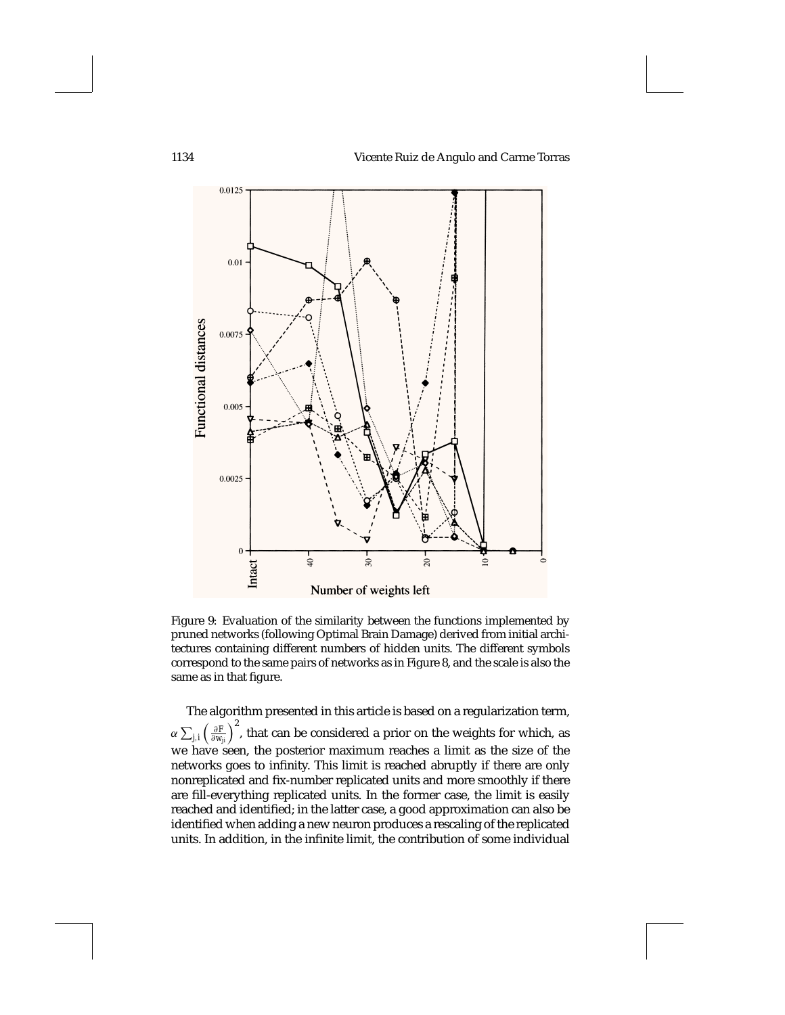

Figure 9: Evaluation of the similarity between the functions implemented by pruned networks (following Optimal Brain Damage) derived from initial architectures containing different numbers of hidden units. The different symbols correspond to the same pairs of networks as in Figure 8, and the scale is also the same as in that figure.

The algorithm presented in this article is based on a regularization term,  $\alpha \sum_{j,i} \left(\frac{\partial F}{\partial w_{ji}}\right)^2$ , that can be considered a prior on the weights for which, as we have seen, the posterior maximum reaches a limit as the size of the networks goes to infinity. This limit is reached abruptly if there are only nonreplicated and fix-number replicated units and more smoothly if there are fill-everything replicated units. In the former case, the limit is easily reached and identified; in the latter case, a good approximation can also be identified when adding a new neuron produces a rescaling of the replicated units. In addition, in the infinite limit, the contribution of some individual